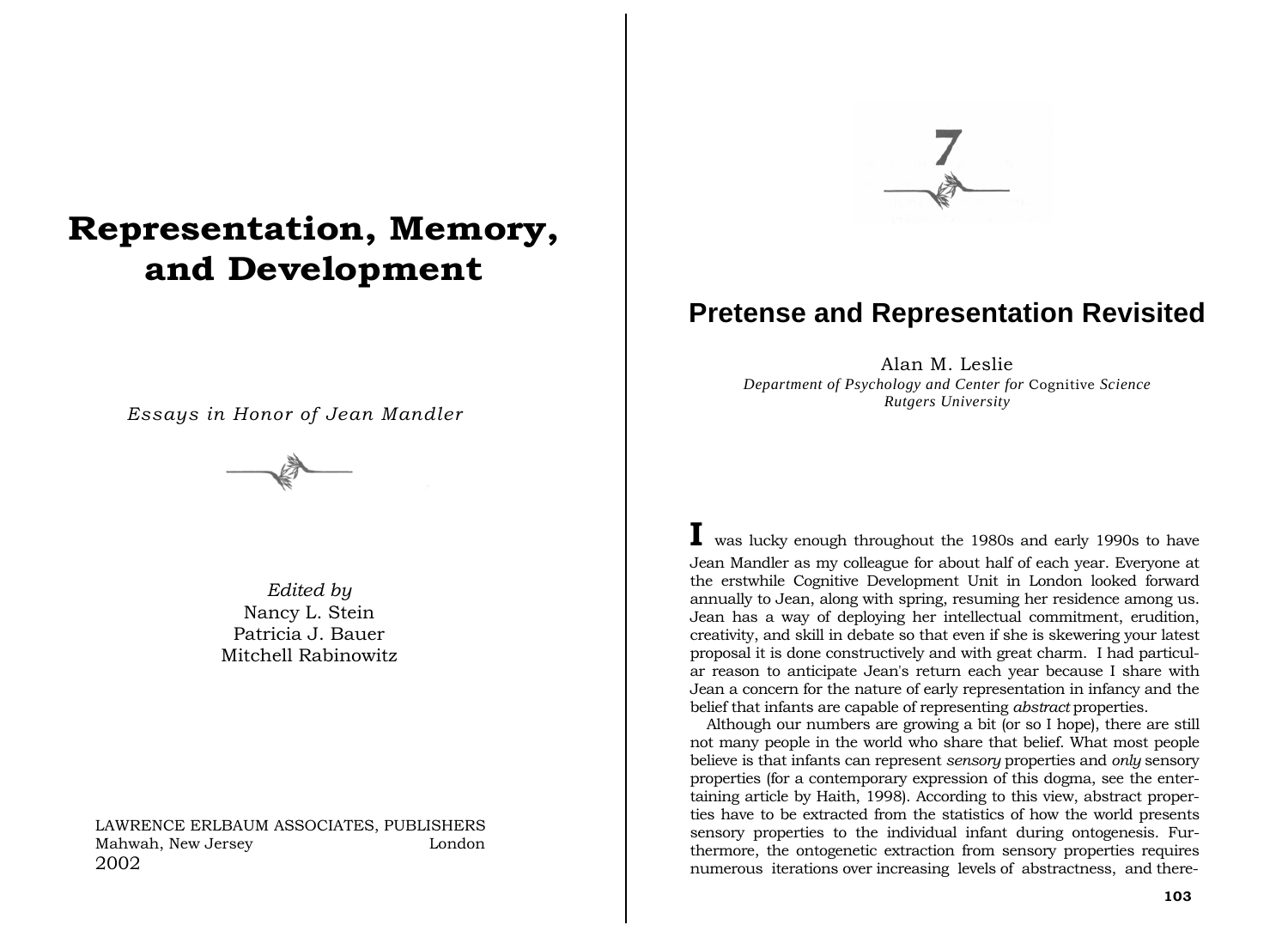# **Representation, Memory, and Development**

*Essays in Honor of Je an Mandler* 



*Edite d by* Nancy L. Stein Patricia J. Bauer Mitchell Rabinowitz

LAWRENCE ERLBAUM ASSOCIATES, PUBLISHERS Mahwah, New Jerse y Lond on2002



# **Pretense and Representation Revisited**

Alan M. Leslie*Depart ment of Psychology and Center for* Cognitive *Science Rutgers University*

 $\overline{\mathbf{I}}$  was lucky enough throughout the 1980s and early 1990s to have Jean Mandler as my colleague for about half of e ach year. Everyone at the erstwhile Cognitive Development Unit in London looked forward annually to Jean, along with spring, resuming her residence amo ng us. Jean has a way of deploying her intellectual commitment, erudition, creativity, and skill in debate so that eve n if she is ske wering your latest proposal it is done constructively an d with gre at charm. I had particular reason to anticipate Jean's return each year because I share with Jean a concern for the nature of early representation in infancy and the belief t h at i nfa nts are c ap able of representin g *ab stract* properties.

Although our numbers are growing a bit (or so I h ope), there are still not many peo ple in the world who share that belief. What most peo ple believe is that infants can represent *sensory* pr operties a nd *only* sensory pr operties (for a c ontemp orary e xpression of t his dogm a, see t he entertaining article by Haith, 1998). According to this vie w, abstract pro perties have to be extracted fro m the statistics of how the world presents sensory properties to the individual infant during ontogenesis. Furthermore, the o ntogenetic extractio n fro m sensory properties requires numerous iterati ons over increasing levels of abstractness, and there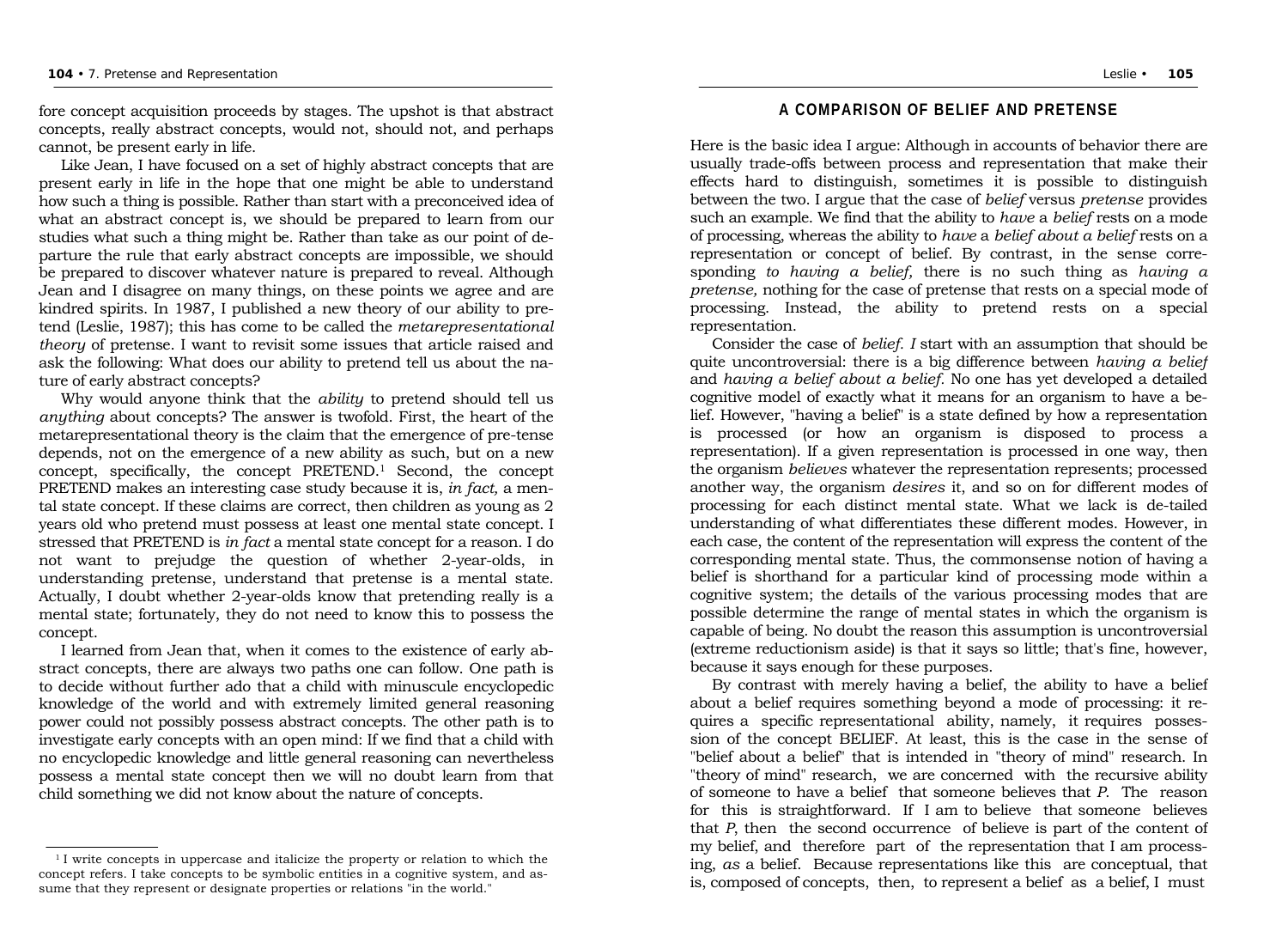fore c oncept acquisition proceeds by stages. The upshot is that abstract concepts, really abstract con cepts, w ould not, shoul d not, and perhaps cannot, be present early i n life.

Like Jean, I have focused on a set of highly abstract conce pts that are present early in life in the hope that one might be able to understandhow such a thing is possible. Rather th an start with a precon ceived ideaofwhat an abstract concept is, we should be prepared to learn from our studies what such a thing might be. Rather than take as our p oint of departure t he rule that early abstra ct concepts are i mp ossible, we s houldbe prep ared to discover whatever nature is prep ared to reveal. Although Jean and I disagree on m any things, on these poi nts we agree and are kindred s pirits. In 19 8 7, I p ublished a new t heory of o ur ability t o pretend (Leslie, 1987); this h as come to be called the *metarepre sentational the ory* of pretense. I want to revisit some issues that article r aised andask the following: What does our ability to pretend tell us about the n ature of early abstract concepts?

Why would anyone think that the *ability* to pretend should tell us *an ything* about con cepts? The answer is tw ofold. First, the heart of the metarepresentatio nal theory is the claim that the emergence of pre-tense depends, not on the emergence of a new ability as such, but on a new concept, specifically, the c oncept PRETEND.1 Second, the conce pt PRETEND makes an interesting case study because it is, *in fa ct,* a mental state concept. If these claims are c orrect, the n children as young as 2 years old who pretend must possess at least one mental state co ncept. I stressed t hat PRETEND is *in fa ct* a mental state concept for a reas on. I donot want t o prejudge the question of whether 2-year-olds, i n understanding pretense, understand that pretense is a mental state. Actually, I doubt whether 2-year-olds know that pretending really is amental state; fortu nately, they d o not need t o k now this to possess the concept.

I learned from Jean that, when it c omes t o the existence of early abstract concepts, there are always two paths one <sup>c</sup> an follow. One path is to decide without further ado that a child with minuscule encyclopedi cknowledge of t he world and with extremely limited general reasonin g power could not possibly possess abstract conce pts. The other p ath is to investig ate early c oncepts with a n open min d: If we find that a child withno encyclopedic knowledge and little ge neral reasoning can nevertheless possess a mental state conce pt the n we will no doubt learn from th at child something we did not k n o w about the nature of concepts.

## **ACOMPARISON OF BELIEF AND PRETENSE**

Here is the basic idea I argue: Although in accounts of be havior there areusually trade-offs between process and representation that make their effects hard to distinguish, someti mes it is possible t o distinguis h between the two. I argue that the case of *beli ef* vers us *pretense* provi des such an example. We find that the ability to *have* a *belief* rests o n a modeof processing, whereas the ability to *h ave* a *b elief ab o ut a b elief* rests on a representation or concept of belief. By contrast, in the se nse corresponding *to having a beli ef,* there is no such thing as *havi ng apretense,* nothing for the case of pretense that rests on a s pecial mode of processing. I nstead, the ability to pretend rests on a special representatio n.

Consider the case of *belief. I* start with an assumption that should be quite uncontroversial: there is a big difference between *having a beli ef* and *having a beli ef about a beli ef.* N o one has yet developed a detailed cognitive m odel of exactly what it means for an organism t o h ave a belief. However, "having a belief" is a state defined by how a represe ntationis processed (or how an organism is dis posed to process arepresentation). If a given re prese ntatio n is processe d in o ne way, the n the organism *believes*  whatever the representation represents; processed anot her way, t he organis m *desires* it, and so o n for different modes of processing for each distinct mental state. What we lack is de-tailed understanding of what differentiates these different modes. However, in eac h c ase, t he c ontent of t he representation will express t he c onte nt of the c orrespon din g mental state. Thus, t he c o mmonsense n otion of h avin g a belief is shorthand for a particular kind of processing mode within a cognitive system; the details of the <sup>v</sup> arious processing m odes that are possible determine the range of mental states in which the organism is capable of being. N o doubt the reason this assumption is uncontroversial (extreme reductionism aside) is that it says so little; that's fine, however, because it says en oug h for these p urposes.

By contrast with merely having a belief, the ability to have a belief about a belief requires so mething beyond a m ode of processing: it requires a specific representational ability, namely, it requires possession of the concept BELIE F. At least, this is the case in the sense of "belief about a belief" that is intended in "theory of mind" research. In "the ory of mind" research, we are con cerned with the recursive ability of someone to have a belief that someone believes t hat *P*. The reasonfor this is straig htforward. If I am to believe t hat someone believesthat  $P$ , then the second occurrence of believe is part of the content of my belief, a nd t herefore part of t he representatio n t hat I am processing, *as* a belief. Because representations like this are c onceptual, that is, composed of concepts, the n, to represent a belief as a belief, I must

<sup>1</sup> I write concepts in uppercase and italicize t he property or relatio n to which the concept refers. I take concepts to be symbolic entities in a cognitive system, and assume that they represent or designate properties or relatio ns "in the world."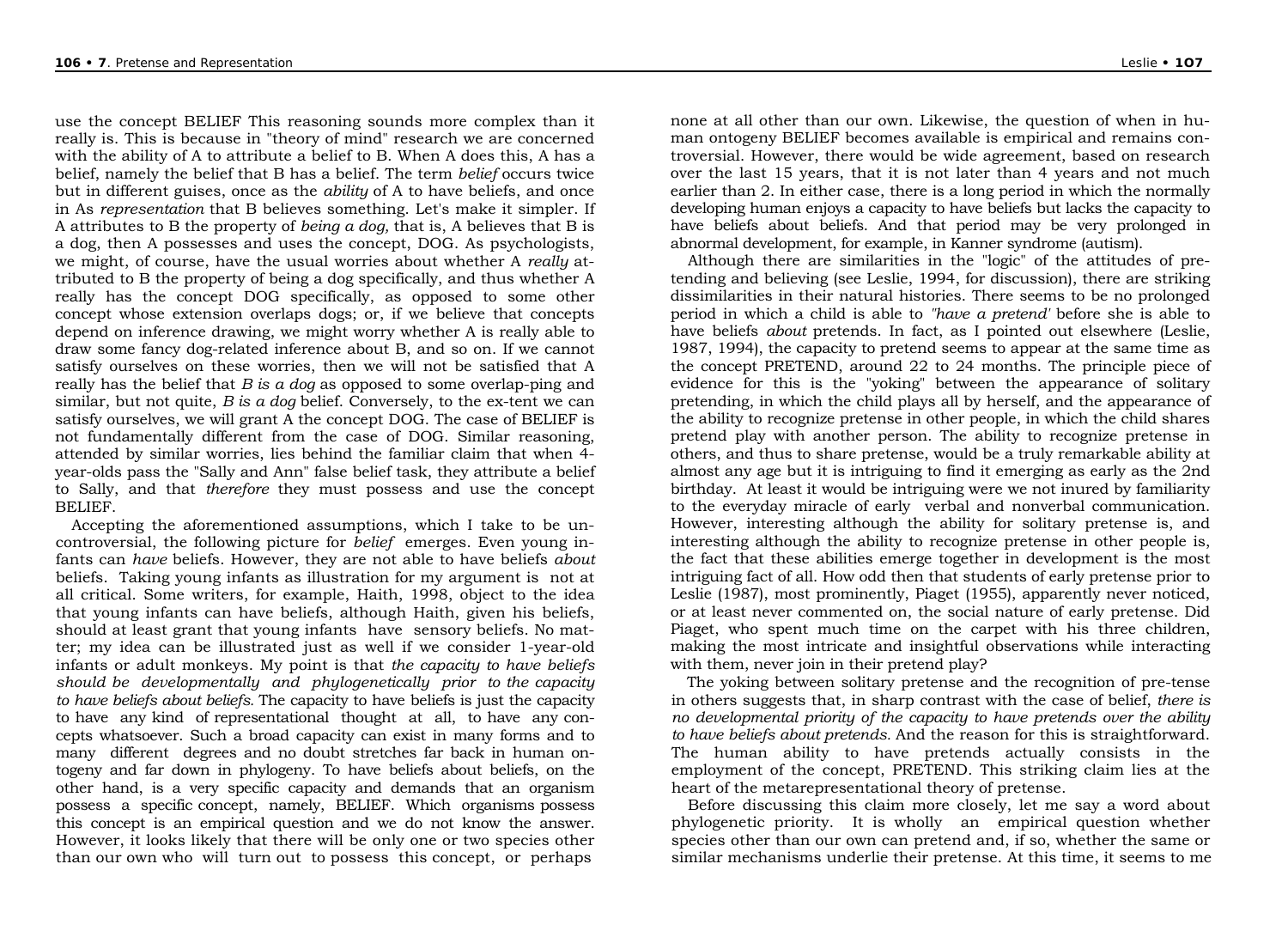use the concept BELIEF This reasoning sounds more complex than it really is. This is because in "theory of mind" research we are concerned with the ability of A to attribute a belief to B. When A does this, A has a belief, namely the belief that B has a belief. The term *belief* occurs twice but in different guises, once as the *ability* of A to have beliefs, and once in As *representation* that B believes something. Let's make it simpler. If A attributes to B the property of *being a dog,* that is, A believes that B is a dog, then A possesses and uses the concept, DOG. As psychologists, we might, of course, have the usual worries about whether A *really* attributed to B the property of being a dog specifically, and thus whether A really has the concept DOG specifically, as opposed to some other concept whose extension overlaps dogs; or, if we believe that concepts depend on inference drawing, we might worry whether A is really able to draw some fancy dog-related inference about B, and so on. If we cannot satisfy ourselves on these worries, then we will not be satisfied that A really has the belief that *B is a dog* as opposed to some overlap-ping and similar, but not quite, *B is a dog* belief. Conversely, to the ex-tent we can satisfy ourselves, we will grant A the concept DOG. The case of BELIEF is not fundamentally different from the case of DOG. Similar reasoning, attended by similar worries, lies behind the familiar claim that when 4 year-olds pass the "Sally and Ann" false belief task, they attribute a belief to Sally, and that *therefore* they must possess and use the concept BELIEF.

Accepting the aforementioned assumptions, which I take to be uncontroversial, the following picture for *belief* emerges. Even young infants can *have* beliefs. However, they are not able to have beliefs *about* beliefs. Taking young infants as illustration for my argument is not at all critical. Some writers, for example, Haith, 1998, object to the idea that young infants can have beliefs, although Haith, given his beliefs, should at least grant that young infants have sensory beliefs. No matter; my idea can be illustrated just as well if we consider 1-year-old infants or adult monkeys. My point is that *the capacity to have beliefs should be developmentally and phylogenetically prior to the capacity to have beliefs about beliefs.* The capacity to have beliefs is just the capacity to have any kind of representational thought at all, to have any concepts whatsoever. Such a broad capacity can exist in many forms and to many different degrees and no doubt stretches far back in human ontogeny and far down in phylogeny. To have beliefs about beliefs, on the other hand, is a very specific capacity and demands that an organism possess a specific concept, namely, BELIEF. Which organisms possess this concept is an empirical question and we do not know the answer. However, it looks likely that there will be only one or two species other than our own who will turn out to possess this concept, or perhaps

none at all other than our own. Likewise, the question of when in human ontogeny BELIEF becomes available is empirical and remains controversial. However, there would be wide agreement, based on research over the last 15 years, that it is not later than 4 years and not much earlier than 2. In either case, there is a long period in which the normally developing human enjoys a capacity to have beliefs but lacks the capacity to have beliefs about beliefs. And that period may be very prolonged in abnormal development, for example, in Kanner syndrome (autism).

Although there are similarities in the "logic" of the attitudes of pretending and believing (see Leslie, 1994, for discussion), there are striking dissimilarities in their natural histories. There seems to be no prolonged period in which a child is able to *"have a pretend'* before she is able to have beliefs *about* pretends. In fact, as I pointed out elsewhere (Leslie, 1987, 1994), the capacity to pretend seems to appear at the same time as the concept PRETEND, around 22 to 24 months. The principle piece of evidence for this is the "yoking" between the appearance of solitary pretending, in which the child plays all by herself, and the appearance of the ability to recognize pretense in other people, in which the child shares pretend play with another person. The ability to recognize pretense in others, and thus to share pretense, would be a truly remarkable ability at almost any age but it is intriguing to find it emerging as early as the 2nd birthday. At least it would be intriguing were we not inured by familiarity to the everyday miracle of early verbal and nonverbal communication. However, interesting although the ability for solitary pretense is, and interesting although the ability to recognize pretense in other people is, the fact that these abilities emerge together in development is the most intriguing fact of all. How odd then that students of early pretense prior to Leslie (1987), most prominently, Piaget (1955), apparently never noticed, or at least never commented on, the social nature of early pretense. Did Piaget, who spent much time on the carpet with his three children, making the most intricate and insightful observations while interacting with them, never join in their pretend play?

The yoking between solitary pretense and the recognition of pre-tense in others suggests that, in sharp contrast with the case of belief, *there is no developmental priority of the capacity to have pretends over the ability to have beliefs about pretends.* And the reason for this is straightforward. The human ability to have pretends actually consists in the employment of the concept, PRETEND. This striking claim lies at the heart of the metarepresentational theory of pretense.

Before discussing this claim more closely, let me say a word about phylogenetic priority. It is wholly an empirical question whether species other than our own can pretend and, if so, whether the same or similar mechanisms underlie their pretense. At this time, it seems to me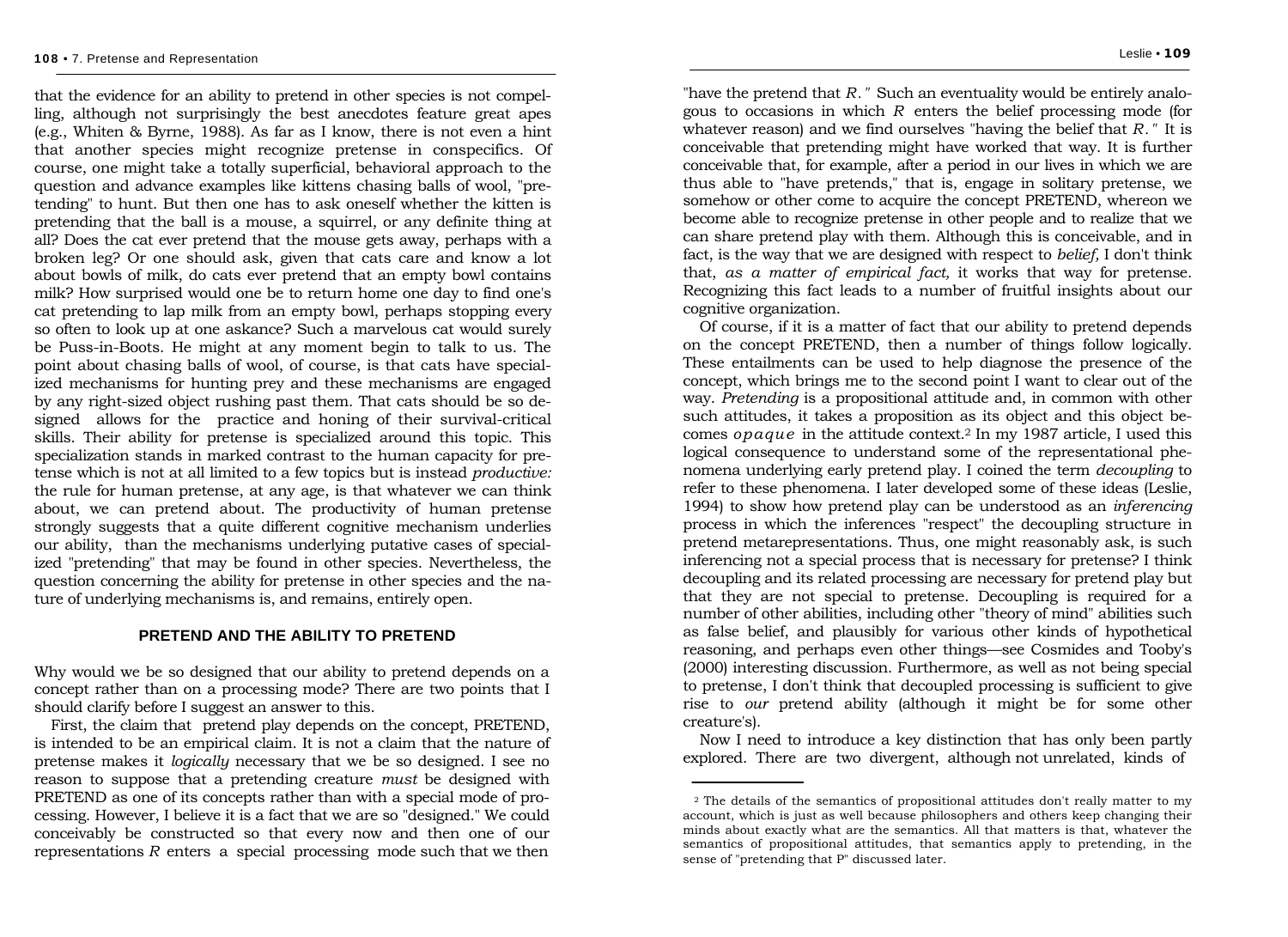that the evide nce for an ability to pretend in other spe cies is not compelling, although not surprisingly the best anecdotes feature great apes (e.g., Whiten & B yrne, 1988). As far as I k n o w, there is not eve n a hint that anot her species mig ht rec og nize pretense in c onspecifics. Of course, o ne might take a totally superficial, behavioral approac h to thequestio n and advance examples like kittens chasing balls of wool, " pretending" to hunt. But then o ne has to ask oneself whether the kitten is pretending t hat the ball is a mouse, a squirrel, or any definite thing at all? Does the cat ever pretend t hat the mouse gets away, perhaps with a broken leg? Or one shoul d ask, given that c ats care and know a l ot about b owls of milk, d o c ats ever pretend that an empty bowl contains milk? How surprised would one be t o return home one day t o findone's cat pretending t o lap mil k from an empty bowl, perh aps stopping every so often to l ook up at one askan ce? S uch a marvelous cat would s urely be Puss-in-Boots. He might at any moment begin to talk to us. The point about chasing balls of wool, of <sup>c</sup> o urse, is that cats have spe cialized mechanisms for hunting prey and these mechanisms are engaged by any right-sized object rushing past the m. That cats shoul d be so designed allows for the practice and honing of their survival-critical skills. Their ability for pretense is specialized aroun d this topic. This specializati on stands in marked contrast to the human capacity for pretense which is not at all limited t o a few topics but is instead *pro ductive:* the rule for human pretense, at any age, is that whatever we can think about, we c an pretend about. The pr oductivity of h uman pretense strongly s u ggests that a quite different cognitive mechanism underlies our ability, than the mechanisms underlying putative cases of spe cialized " pretending" that may be found i n other s pecies. Nevertheless, the question con cerning the ability for pretense in other species and the nature of underlying mechanisms is, and remains, entirely ope n.

#### **PRETEND AND THE ABILITY TO PRETEND**

Why would we be so designed that our ability to pretend depends on aconcept rather than on a processing mode? There are two p oints that I should clarify before I s uggest an answer to this.

First, the claim t hat pretend pl ay depends on the concept, PRETEND, is intended to be an empirical claim. It is not a cl aim that the nature of pretense m akes it *logic ally* ne cessary that we be so designed. I see n o reason to sup p ose that a pretendi ng creature *mu st* be designed wit hPRETEND as one of its concepts rather than with a special mode of processing. However, I believe it is a fact that we are s <sup>o</sup>"designed." We coul dconceivably be c onstructed s o that every now and the n one of our representatio ns *R* enters a spe cial processing mode s uch that we then

"have the pretend that *R."* Such an eventuality would be entirely analogous to occasions in whi ch *R* enters t he belief processin g m ode (for whatever reason) and we find ourselves "having the belief that *R."* It is conceivable that pretending might have w orked that way. It is further conceivable t hat, for example, after a period i n our lives i n which we are thus able t o " h ave pretends," t h at is, en g a ge i n s olitary pretense, we somehow or other come to acquire the concept PRETEND, whereon we become able t o recognize pretense i n other people and t o realize t hat we can share pretend play with the m. Alt hough this is conceivable, and in fact, is the way that we are designe d with respe ct to *belief,* I don't think that, *as a m atter of empiric al fa ct,* it works that way for pretense. Recognizing this fact leads to a num ber of fruitful insights abo ut our cognitive organization.

Of course, if it is a matter of fact that our ability to pretend depe nds o n the concept PRETEN D, the n a number of things follow logically. These entailments c an be used to help di ag nose the presen ce of theconcept, which brings me to the second point I want to clear out of the way. *Pretending* is a proposition al attitude and, in common with other such attitudes, it takes a propositi on as its object and this object becomes *opa que* in the attitude context.2 I n my 1987 article, I use d this logical conseque nce to understand some of the representational p henomena underlyin g early pretend play. I c oined the term *decoupling* to refer t o t hese phenomen a. I l ater develo ped s o me of t hese i deas ( Leslie, 19 9 4) t o sh o w how pretend play can be un derstood as an *infere n cing* process in which the inferences "respect" the dec oupling structure in pretend metarepresentations. Thus, o ne mig ht reasonably ask, is s uc hinferencing n ot a spe cial process that is necessary for pretense? I think de c oupling and its related processing are necessary for pretend play but that they are not special to pretense. Decoupling is required for a num ber of other abilities, including other "theory of mind" abilities such as false belief, and plausibly for vario us other kinds of hypothetical re asoning, and perhaps even other things—see Cosmi des and Tooby's (2000) interesting discussion. Furthermore, as well as not being spe cial to pretense, I don't think that de coupled processin g is sufficient to give rise to *our* pretend ability (although it might be for some other creature's).

Now I need t o introduce a key distinction that has only bee n partly explored. There are two diverge nt, altho ugh not unrelated, kinds of

<sup>&</sup>lt;sup>2</sup> The details of the semantics of propositional attitudes don't really matter to my account, which is just as well because philosophers and ot hers keep changing t heir minds about exactly what are the semantics. All that matters is that, whatever the semantics of propositional attitudes, that semantics apply to pretending, in t he sense of "pretending that P" discussed later.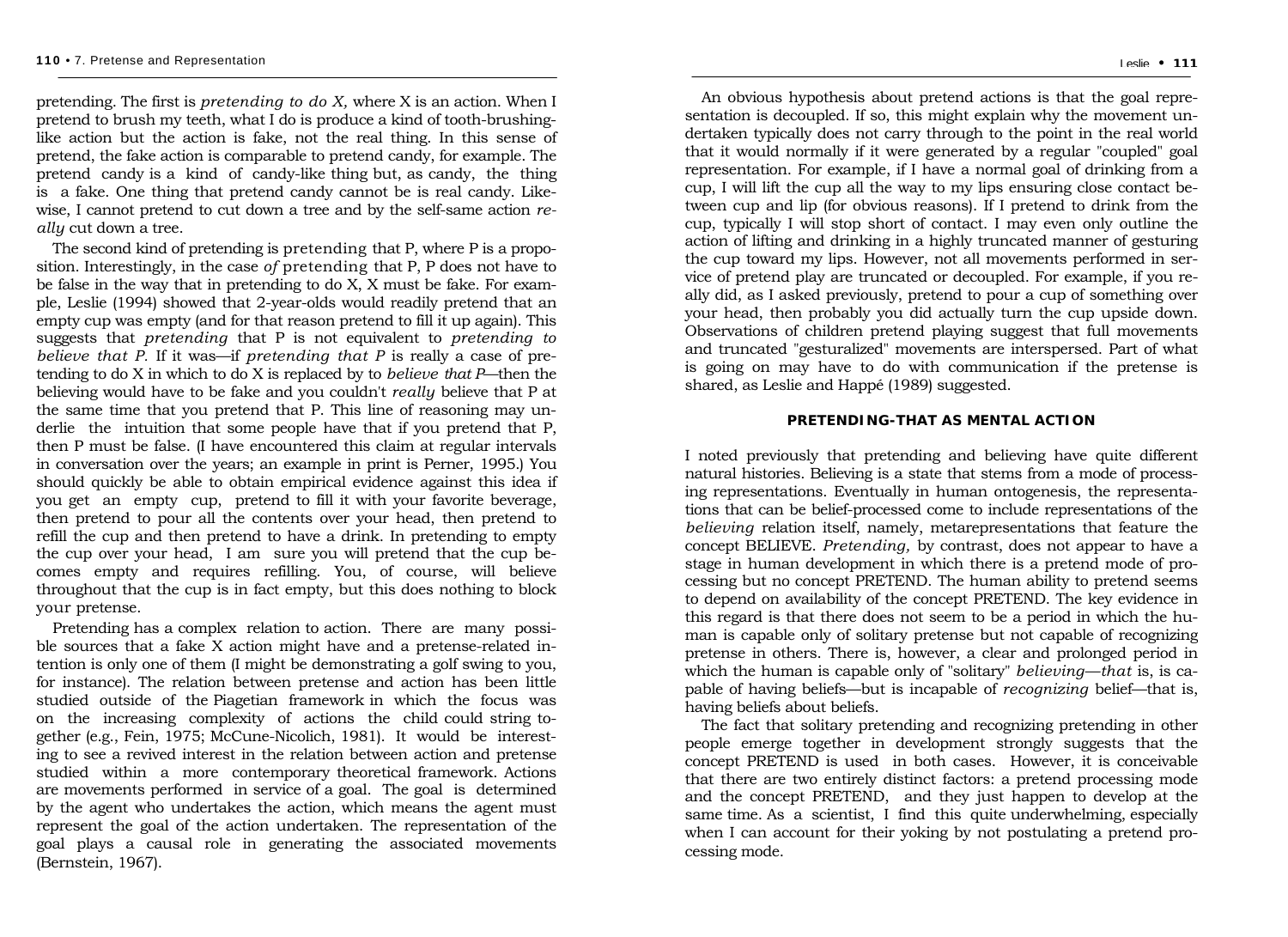pretendi ng. The first is *prete nding t odo X,* where X is an action. When I pretend to brush my teeth, what I do is produce a kind of tooth-brushinglike action but the action is fake, not the real t hing. I n this sense ofpretend, t he fake action is comp arable to pretend c andy, for ex ample. The preten d c a ndy is a kind of c a ndy-like t hing b ut, as c a ndy, t he t hing is a fake. One thing that pretend candy cannot be is real candy. Likewise, I cannot pretend to cut down a tree and by the self-same action *really* cut d own a tree.

The sec o nd kind of pretendi ng is preten ding th at P, where P is a proposition. Interestingly, in the case *of* pretending that P, P does not have to be false in the way t hat in pretending t o do X, X must be fake. For example, Leslie (1994) showed t hat 2-year-olds would readily pretend t hat an empty cup w as empty ( and for that reason pretend to fill it up again). This suggests that *pretending* that P is not equivalent to *pretending to believe t h at P.* If it was—if *prete nding t hat P* is really a case of pretending to do X in which to do X is replace d by to *believe th at P*—then the believing would have t o be fake and yo u could <sup>n</sup>'t *really* believe t hat P at the same time that you pretend that P. This line of reaso ning may underlie the intuition that some peo ple have that if yo u preten d that P, then P must be false. (I h ave encountered this claim at regular intervals in conversation over t he years; an example in print is Perner, 1995.) You should quickly be able to obtain e mpirical evidence against this idea if you get an empty cup, pretend to fill it with your favorite bevera ge, then preten d t o p our all the c o ntents over your hea d, t hen pretend t o refill the cup and then pretend to h ave a drink. In pretending t o empty the cup o ver y our head, I a m sure y ou will pretend t hat t he cup becomes empty and requires refilling. You, of course, will believe throughout that the cup is in fact e mpty, b ut this does nothing to blo ckyour pretense.

Pretending has a complex relation to action. There are many possible s ources that a fake X action might have and a pretense-related intention is only one of t hem (I might be demonstrating a golf swing to yo u, for instance). The relation betwee n pretense and action has been little studied outside of t he Pi a getia n fra mework i n whic h t he fo c us was on the increasing complexity of actions the child could string together (e.g., Fein, 197 5; McC une-Nicolich, 1981). It would be interesting to see a revived interest in the relation between action and pretense studied within a more contemp orary t heoretical framework. Actionsare mo vements performed in service of a g oal. The goal is determined by the agent who undertakes the action, which means the age nt mustrepresent the goal of the action undertaken. The representation of the goal plays a causal r ole in generating the associated m o vements (Bernstein, 1967).

An obvious hypothesis about pretend actions is t hat the g oal representation is decoupled. If so, this might ex plain why the movement u ndertaken typically does not carry thro u gh to the point in the real worl d that it would normally if it were generated by a re gular "coupled" goal representation. For example, if I h ave a normal g oal of drinking from acup, I will lift the cup all the way to my lips ensuring close contact between cup and lip (for obvious reasons). If I pretend t o drink from t hecup, typically I will stop short of contact. I may even only outline the action of lifting and drinking in a highly truncated manner of gesturin g the cup t oward my lips. However, n ot all movements performed in service of pretend play are truncated or dec oupled. F or example, if you really did, as I asked previously, pretend to pour a cup of something over your head, then probably you did actually turn the cup upside down. Observations of children pretend playing suggest that full movements and truncated "gesturalized" m o vements are interspersed. Part of what is g oing o n may h ave to do with communication if the pretense is shared, as Leslie and Happé (1989) s uggested.

#### **PRETENDING-THAT AS MENTAL ACTION**

I noted previously that pretending and believing have quite different natural histories. Believing is a state that stems fro m a mode of processing representations. Eventually in human ont ogenesis, the representations that can be belief-processed come to include representatio ns of the *believing* relation itself, namely, metare presentatio ns that feature the concept BELIEVE. *Pretending*, by contrast, does not appear to have a sta ge i n h u m a n develo p ment i n w hic h t here is a pretend m o de of pr ocessing but no con cept PRETEND. The human ability to pretend seems to depend on avail ability of the concept PRETEND. The key evidence i n this regard is that there d oes not seem to be a perio d in which the human is capable only of solitary pretense but not capable of recognizin g pretense i n ot hers. There is, h o wever, a clear a nd pr olon ged perio d i n which the human is capable only of "solitary" *believing —that* is, is capable of having beliefs—b ut is incapable of *re cog nizing* belief—that is, having beliefs about beliefs.

The fact that solitary pretending and recognizing pretending in other peo ple emerge together in development strongly suggests that the concept PRETEND is used in both cases. However, it is con ceivable that there are two entirely distinct factors: a pretend processing mode and the conce pt PRETEN D, and they just happen to develop at the sa me time. As a s cientist, I fin d t his quite <sup>u</sup> n derw helmin g, especially when I can a ccount for their yoking by not p ostulating a pretend pr ocessing m ode.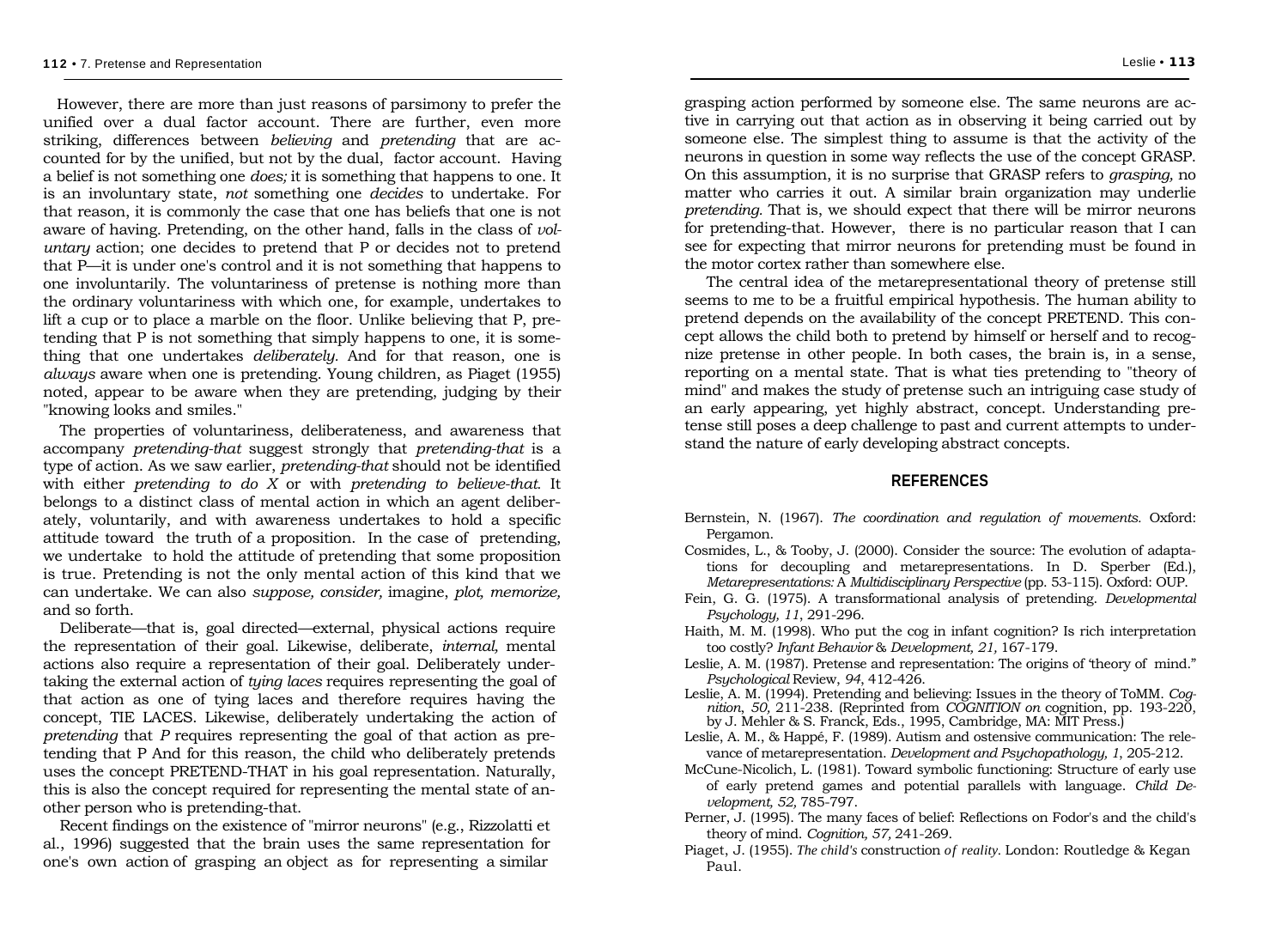However, there are m ore than j ust reasons of parsimony t o prefer the unified over a dual fa ctor ac c ount. There are further, even more striking, differences between *believing* and *pretending* that are a ccounted for by the unified, but not by the dual, factor account. Havin g a belief is not something one *does;* it is something that happe ns t o one. It is an inv oluntary state, *not* somethi ng one *decides* to u ndertake. For that reason, it is commonly the case t hat one has beliefs that one is not aware of having. Pretending, on the other han d, falls in the class of *vol*untary action; one decides to pretend that P or decides not to pretend that P—it is under one's control and it is not something that happens to one involuntarily. The voluntariness of pretense is n othing m ore than the ordin ary voluntariness with whi ch one, for example, undertakes to lift a cup or to place a m arble on the floor. Unlike believing that P, prete n ding that P is n ot something that sim ply h appens t o one, it is something that one undertakes *deliberately.* And for t hat reaso n, one is *always* aware when one is pretending. Young children, as Piaget (1955) noted, appear to be aware when they are pretending, judging by their "kn owing looks and s miles."

The properties of v oluntariness, deliberateness, and awareness that accompany *prete ndi ng-that* suggest strongly that *pretending-that* is a type of action. As we s aw e arlier, *preten ding-that* should not be ide ntified with either *pretending to do X* or wit h *pretending to believe-th at.* It belon gs t o a distinct cl ass of mental action i n w hich an a gent deliberately, v oluntarily, a nd with awareness undertakes t o h old a s pecific attitude t oward the truth of a proposition. In the case of pretending, we undertake to hold the attitude of pretending that some proposition is true. Pretending is not the only mental action of this kind that we can undertake. We can also *suppose, consi der,* im agine, *plot, memoriz e,* and so forth.

Deliberate—that is, goal directed—external, physical actions require the representatio n of their goal. Likewise, deliberate, *internal,* mental actions also require a representation of t heir g oal. Deliber ately un dertaking the external actio n of *tying l aces* requires representin g t he g oal of that actio n as o ne of tying laces and therefore requires having the concept, TIE LA CES. Likewise, deliberately undertaking the actio n of *pretending* that P requires representing the goal of that action as pretending that P And for this reason, the child who deliberately pretends uses the conce pt PRETEND-TH AT in his goal represe ntatio n. Naturally, this is also t he concept required for representing the mental state of anot her person who is pretending-that.

Recent findings on the existe nce of "mirror neuro ns" (e.g., Rizzolatti et al., 1996) s uggested that the brain uses the same representation for o ne's o wn actio n of grasping an o bject as for re presenting a similar

grasping a ction perfor med by so meone else. The s a me neurons are active in carrying out that action as in observing it being carried out by someone else. The simplest thing to ass ume is t hat the activity of the neurons in question in some way reflects the use of the con cept GRASP. O n t his assu m ptio n, it is <sup>n</sup> o s urprise t h at G RA S P refers t o *grasping,* no matter who carries it out. A similar brain organization may underlie *pretending.*  That is, we shoul d expect that there will be mirror neurons for pretending-that. However, there is no particular reason that I can see for expecting that mirror neurons for pretending must be found in the motor cortex rather than somewhere else.

The central idea of the metarepresentational theory of pretense still seems to me to be a fruitful empirical hypothesis. The human ability to pretend depends on the availability of the concept PRETEND. This concept allows t he child bot h t o pretend by himself or herself and to rec ognize pretense in other people. In both cases, the brain is, in a sense, reporting on a mental state. That is what ties pretending to "theory of mind" and makes the study of pretense s uch an intriguing case study of an e arly appearing, yet highly abstract, concept. Understan ding pretense still poses a deep challenge to past and current attem pts to understand the nature of early de veloping abstract con cepts.

### **REFERENCES**

- Bernstein, N. (1967). *The coordinationand regulation of move ments.* Oxford: Pergamon.
- Cosmides, L., & Tooby, J. (2000). Consider the source: The evolution of adaptations for decoupling and metarepresentations. In D. Sperber (Ed.), *Metarepresentatio ns:* A *Multidisciplin ary Perspective* (pp. 5 3-115). Oxfor d: OUP.
- Fein, G. G. (1975). A transformational analysis of pretending. *Develop mentalPsychology, 11*, 291-296.
- Haith, M. M. (1998). Who put the cog in i nfant cognition? Is rich interpretatio ntoo costly? *Infa nt Behavior* & *Develop ment, 21,* 167-179.
- Leslie, A. M. (1987). Pretense and representation: The origins of 'theory of mind." *Psychological* Review, *94*, 412-426.
- Leslie, A. M. (1994). Pretending and believing: Issues in the theory of ToMM. *Cognition*, *50,* 211-238. (Re printed from *COGNITION on* cognition, pp. 193-220, by J. Mehler & S. Franck, Eds., 1995, Cambridge, MA: MIT Press.)
- Leslie, A. M., & Happé, F. (1989). Autism a nd ostensive communication: The relevance of metarepresentation. *Develop ment and Ps ychop athology, 1*, 205-212.
- McCune-Nicolich, L. (1981). Toward symbolic functioning: Structure of e arly use of e arly pretend games and pote ntial p arallels with l anguage. *Child Develop ment, 52,* 785-797.
- Perner, J. (1995). The many faces of belief: Reflections on Fodor's and the child's theory of mind. *Cognition, 57,* 241-269.
- Pia get, J. (1955). *The child's* construction *of reality.* London: Routledge & Kegan Paul.